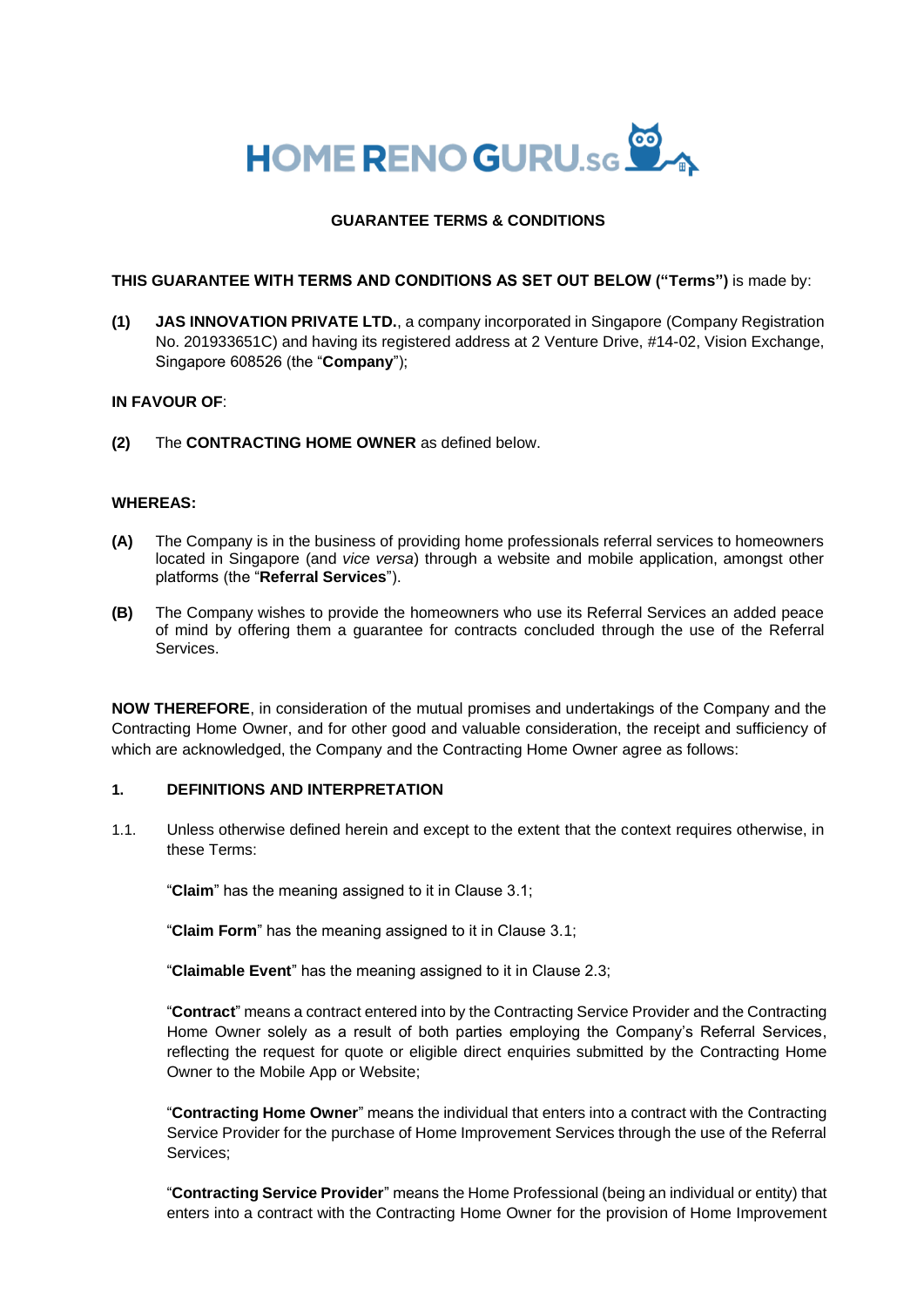

### **GUARANTEE TERMS & CONDITIONS**

#### **THIS GUARANTEE WITH TERMS AND CONDITIONS AS SET OUT BELOW ("Terms")** is made by:

**(1) JAS INNOVATION PRIVATE LTD.**, a company incorporated in Singapore (Company Registration No. 201933651C) and having its registered address at 2 Venture Drive, #14-02, Vision Exchange, Singapore 608526 (the "**Company**");

#### **IN FAVOUR OF**:

**(2)** The **CONTRACTING HOME OWNER** as defined below.

#### **WHEREAS:**

- **(A)** The Company is in the business of providing home professionals referral services to homeowners located in Singapore (and *vice versa*) through a website and mobile application, amongst other platforms (the "**Referral Services**").
- **(B)** The Company wishes to provide the homeowners who use its Referral Services an added peace of mind by offering them a guarantee for contracts concluded through the use of the Referral Services.

**NOW THEREFORE**, in consideration of the mutual promises and undertakings of the Company and the Contracting Home Owner, and for other good and valuable consideration, the receipt and sufficiency of which are acknowledged, the Company and the Contracting Home Owner agree as follows:

#### **1. DEFINITIONS AND INTERPRETATION**

1.1. Unless otherwise defined herein and except to the extent that the context requires otherwise, in these Terms:

"**Claim**" has the meaning assigned to it in Clause 3.1;

"**Claim Form**" has the meaning assigned to it in Clause 3.1;

"**Claimable Event**" has the meaning assigned to it in Clause 2.3;

"**Contract**" means a contract entered into by the Contracting Service Provider and the Contracting Home Owner solely as a result of both parties employing the Company's Referral Services, reflecting the request for quote or eligible direct enquiries submitted by the Contracting Home Owner to the Mobile App or Website;

"**Contracting Home Owner**" means the individual that enters into a contract with the Contracting Service Provider for the purchase of Home Improvement Services through the use of the Referral Services;

"**Contracting Service Provider**" means the Home Professional (being an individual or entity) that enters into a contract with the Contracting Home Owner for the provision of Home Improvement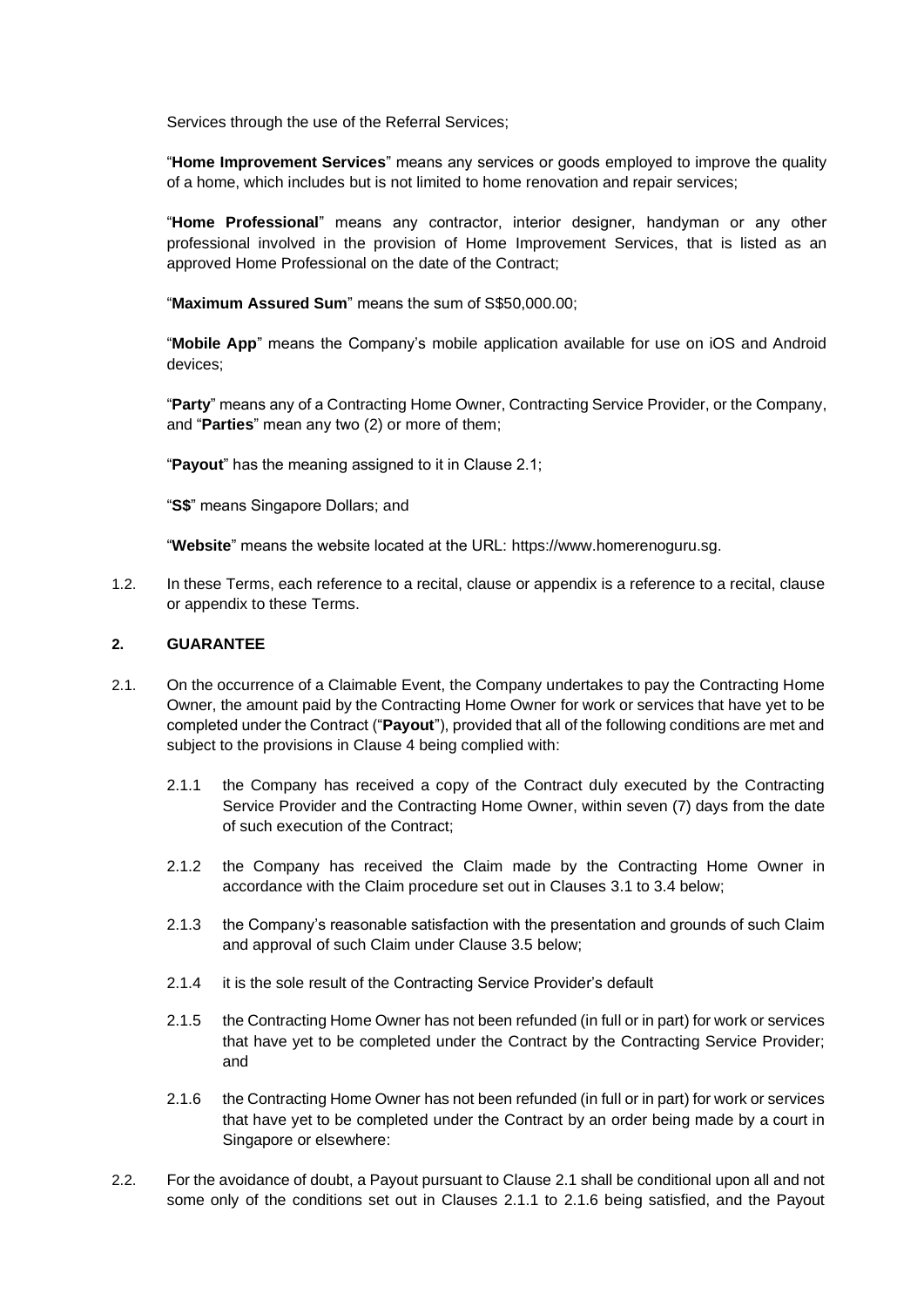Services through the use of the Referral Services;

"**Home Improvement Services**" means any services or goods employed to improve the quality of a home, which includes but is not limited to home renovation and repair services;

"**Home Professional**" means any contractor, interior designer, handyman or any other professional involved in the provision of Home Improvement Services, that is listed as an approved Home Professional on the date of the Contract;

"**Maximum Assured Sum**" means the sum of S\$50,000.00;

"**Mobile App**" means the Company's mobile application available for use on iOS and Android devices;

"**Party**" means any of a Contracting Home Owner, Contracting Service Provider, or the Company, and "**Parties**" mean any two (2) or more of them;

"**Payout**" has the meaning assigned to it in Clause 2.1;

"**S\$**" means Singapore Dollars; and

"**Website**" means the website located at the URL: https://www.homerenoguru.sg.

1.2. In these Terms, each reference to a recital, clause or appendix is a reference to a recital, clause or appendix to these Terms.

### **2. GUARANTEE**

- 2.1. On the occurrence of a Claimable Event, the Company undertakes to pay the Contracting Home Owner, the amount paid by the Contracting Home Owner for work or services that have yet to be completed under the Contract ("**Payout**"), provided that all of the following conditions are met and subject to the provisions in Clause 4 being complied with:
	- 2.1.1 the Company has received a copy of the Contract duly executed by the Contracting Service Provider and the Contracting Home Owner, within seven (7) days from the date of such execution of the Contract;
	- 2.1.2 the Company has received the Claim made by the Contracting Home Owner in accordance with the Claim procedure set out in Clauses 3.1 to 3.4 below;
	- 2.1.3 the Company's reasonable satisfaction with the presentation and grounds of such Claim and approval of such Claim under Clause 3.5 below;
	- 2.1.4 it is the sole result of the Contracting Service Provider's default
	- 2.1.5 the Contracting Home Owner has not been refunded (in full or in part) for work or services that have yet to be completed under the Contract by the Contracting Service Provider; and
	- 2.1.6 the Contracting Home Owner has not been refunded (in full or in part) for work or services that have yet to be completed under the Contract by an order being made by a court in Singapore or elsewhere:
- 2.2. For the avoidance of doubt, a Payout pursuant to Clause 2.1 shall be conditional upon all and not some only of the conditions set out in Clauses 2.1.1 to 2.1.6 being satisfied, and the Payout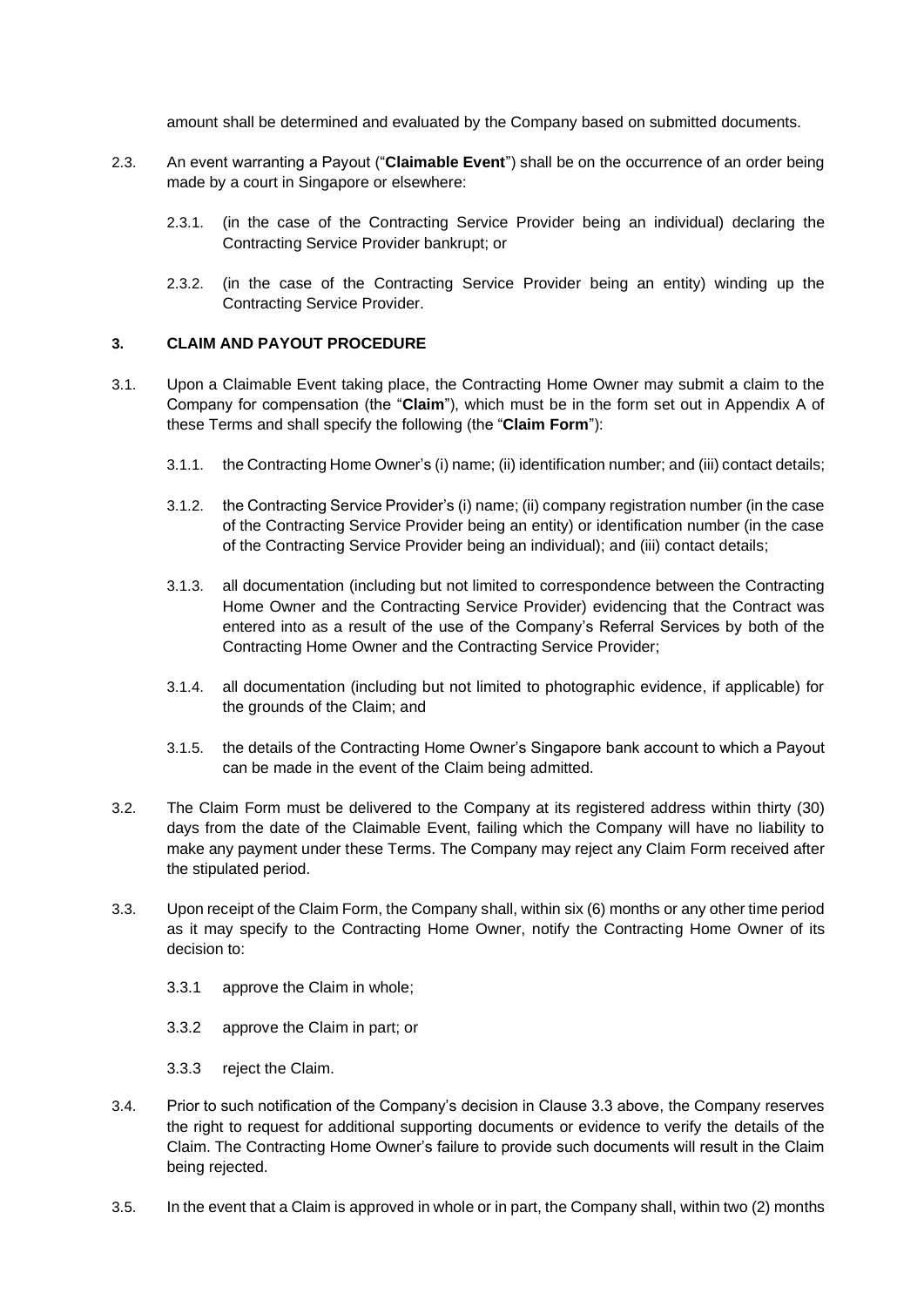amount shall be determined and evaluated by the Company based on submitted documents.

- 2.3. An event warranting a Payout ("**Claimable Event**") shall be on the occurrence of an order being made by a court in Singapore or elsewhere:
	- 2.3.1. (in the case of the Contracting Service Provider being an individual) declaring the Contracting Service Provider bankrupt; or
	- 2.3.2. (in the case of the Contracting Service Provider being an entity) winding up the Contracting Service Provider.

#### **3. CLAIM AND PAYOUT PROCEDURE**

- 3.1. Upon a Claimable Event taking place, the Contracting Home Owner may submit a claim to the Company for compensation (the "**Claim**"), which must be in the form set out in Appendix A of these Terms and shall specify the following (the "**Claim Form**"):
	- 3.1.1. the Contracting Home Owner's (i) name; (ii) identification number; and (iii) contact details;
	- 3.1.2. the Contracting Service Provider's (i) name; (ii) company registration number (in the case of the Contracting Service Provider being an entity) or identification number (in the case of the Contracting Service Provider being an individual); and (iii) contact details;
	- 3.1.3. all documentation (including but not limited to correspondence between the Contracting Home Owner and the Contracting Service Provider) evidencing that the Contract was entered into as a result of the use of the Company's Referral Services by both of the Contracting Home Owner and the Contracting Service Provider;
	- 3.1.4. all documentation (including but not limited to photographic evidence, if applicable) for the grounds of the Claim; and
	- 3.1.5. the details of the Contracting Home Owner's Singapore bank account to which a Payout can be made in the event of the Claim being admitted.
- 3.2. The Claim Form must be delivered to the Company at its registered address within thirty (30) days from the date of the Claimable Event, failing which the Company will have no liability to make any payment under these Terms. The Company may reject any Claim Form received after the stipulated period.
- 3.3. Upon receipt of the Claim Form, the Company shall, within six (6) months or any other time period as it may specify to the Contracting Home Owner, notify the Contracting Home Owner of its decision to:
	- 3.3.1 approve the Claim in whole;
	- 3.3.2 approve the Claim in part; or
	- 3.3.3 reject the Claim.
- 3.4. Prior to such notification of the Company's decision in Clause 3.3 above, the Company reserves the right to request for additional supporting documents or evidence to verify the details of the Claim. The Contracting Home Owner's failure to provide such documents will result in the Claim being rejected.
- 3.5. In the event that a Claim is approved in whole or in part, the Company shall, within two (2) months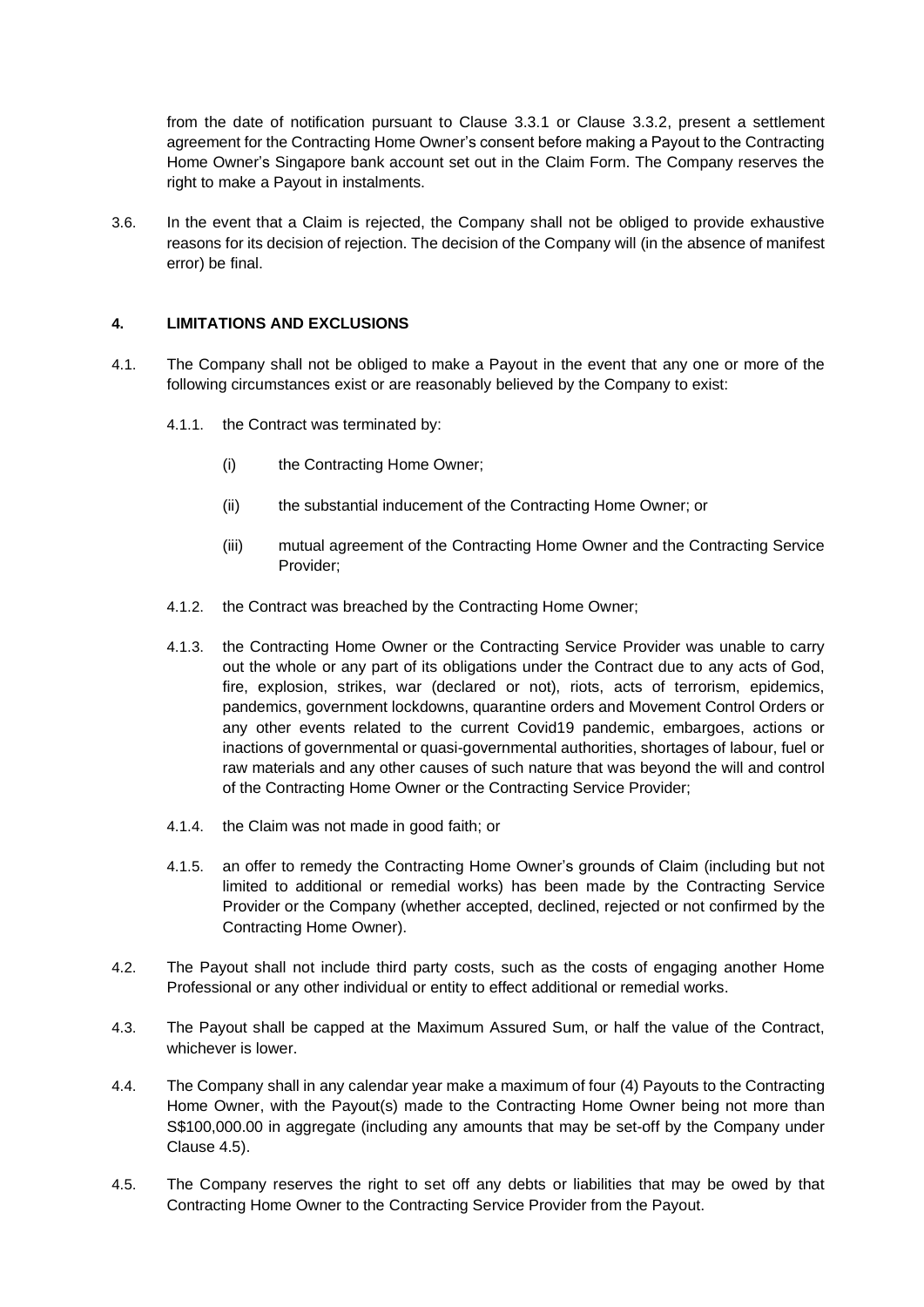from the date of notification pursuant to Clause 3.3.1 or Clause 3.3.2, present a settlement agreement for the Contracting Home Owner's consent before making a Payout to the Contracting Home Owner's Singapore bank account set out in the Claim Form. The Company reserves the right to make a Payout in instalments.

3.6. In the event that a Claim is rejected, the Company shall not be obliged to provide exhaustive reasons for its decision of rejection. The decision of the Company will (in the absence of manifest error) be final.

### **4. LIMITATIONS AND EXCLUSIONS**

- 4.1. The Company shall not be obliged to make a Payout in the event that any one or more of the following circumstances exist or are reasonably believed by the Company to exist:
	- 4.1.1. the Contract was terminated by:
		- (i) the Contracting Home Owner;
		- (ii) the substantial inducement of the Contracting Home Owner; or
		- (iii) mutual agreement of the Contracting Home Owner and the Contracting Service Provider;
	- 4.1.2. the Contract was breached by the Contracting Home Owner;
	- 4.1.3. the Contracting Home Owner or the Contracting Service Provider was unable to carry out the whole or any part of its obligations under the Contract due to any acts of God, fire, explosion, strikes, war (declared or not), riots, acts of terrorism, epidemics, pandemics, government lockdowns, quarantine orders and Movement Control Orders or any other events related to the current Covid19 pandemic, embargoes, actions or inactions of governmental or quasi-governmental authorities, shortages of labour, fuel or raw materials and any other causes of such nature that was beyond the will and control of the Contracting Home Owner or the Contracting Service Provider;
	- 4.1.4. the Claim was not made in good faith; or
	- 4.1.5. an offer to remedy the Contracting Home Owner's grounds of Claim (including but not limited to additional or remedial works) has been made by the Contracting Service Provider or the Company (whether accepted, declined, rejected or not confirmed by the Contracting Home Owner).
- 4.2. The Payout shall not include third party costs, such as the costs of engaging another Home Professional or any other individual or entity to effect additional or remedial works.
- 4.3. The Payout shall be capped at the Maximum Assured Sum, or half the value of the Contract, whichever is lower
- 4.4. The Company shall in any calendar year make a maximum of four (4) Payouts to the Contracting Home Owner, with the Payout(s) made to the Contracting Home Owner being not more than S\$100,000.00 in aggregate (including any amounts that may be set-off by the Company under Clause 4.5).
- 4.5. The Company reserves the right to set off any debts or liabilities that may be owed by that Contracting Home Owner to the Contracting Service Provider from the Payout.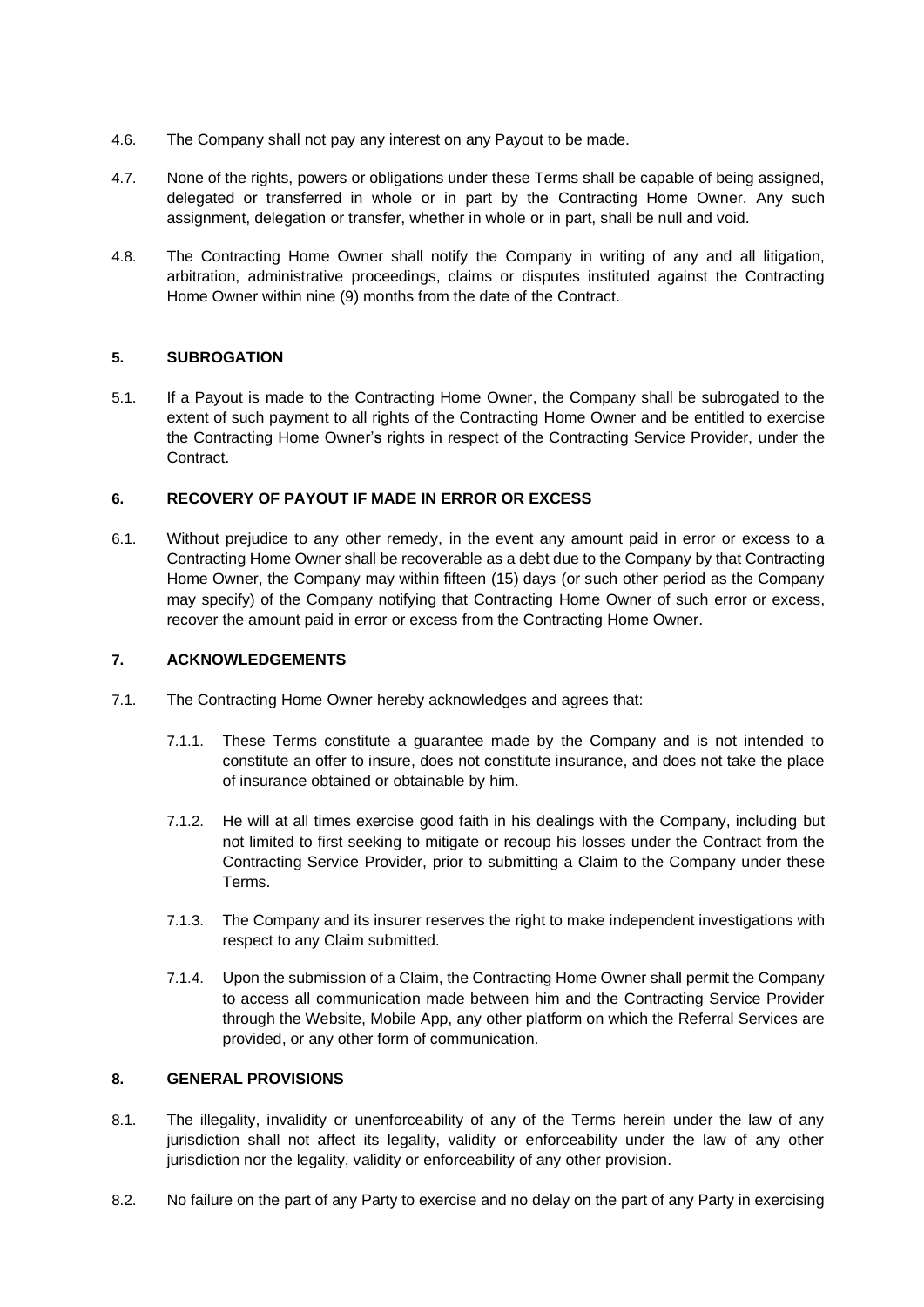- 4.6. The Company shall not pay any interest on any Payout to be made.
- 4.7. None of the rights, powers or obligations under these Terms shall be capable of being assigned, delegated or transferred in whole or in part by the Contracting Home Owner. Any such assignment, delegation or transfer, whether in whole or in part, shall be null and void.
- 4.8. The Contracting Home Owner shall notify the Company in writing of any and all litigation, arbitration, administrative proceedings, claims or disputes instituted against the Contracting Home Owner within nine (9) months from the date of the Contract.

## **5. SUBROGATION**

5.1. If a Payout is made to the Contracting Home Owner, the Company shall be subrogated to the extent of such payment to all rights of the Contracting Home Owner and be entitled to exercise the Contracting Home Owner's rights in respect of the Contracting Service Provider, under the Contract.

# **6. RECOVERY OF PAYOUT IF MADE IN ERROR OR EXCESS**

6.1. Without prejudice to any other remedy, in the event any amount paid in error or excess to a Contracting Home Owner shall be recoverable as a debt due to the Company by that Contracting Home Owner, the Company may within fifteen (15) days (or such other period as the Company may specify) of the Company notifying that Contracting Home Owner of such error or excess, recover the amount paid in error or excess from the Contracting Home Owner.

# **7. ACKNOWLEDGEMENTS**

- 7.1. The Contracting Home Owner hereby acknowledges and agrees that:
	- 7.1.1. These Terms constitute a guarantee made by the Company and is not intended to constitute an offer to insure, does not constitute insurance, and does not take the place of insurance obtained or obtainable by him.
	- 7.1.2. He will at all times exercise good faith in his dealings with the Company, including but not limited to first seeking to mitigate or recoup his losses under the Contract from the Contracting Service Provider, prior to submitting a Claim to the Company under these Terms.
	- 7.1.3. The Company and its insurer reserves the right to make independent investigations with respect to any Claim submitted.
	- 7.1.4. Upon the submission of a Claim, the Contracting Home Owner shall permit the Company to access all communication made between him and the Contracting Service Provider through the Website, Mobile App, any other platform on which the Referral Services are provided, or any other form of communication.

### **8. GENERAL PROVISIONS**

- 8.1. The illegality, invalidity or unenforceability of any of the Terms herein under the law of any jurisdiction shall not affect its legality, validity or enforceability under the law of any other jurisdiction nor the legality, validity or enforceability of any other provision.
- 8.2. No failure on the part of any Party to exercise and no delay on the part of any Party in exercising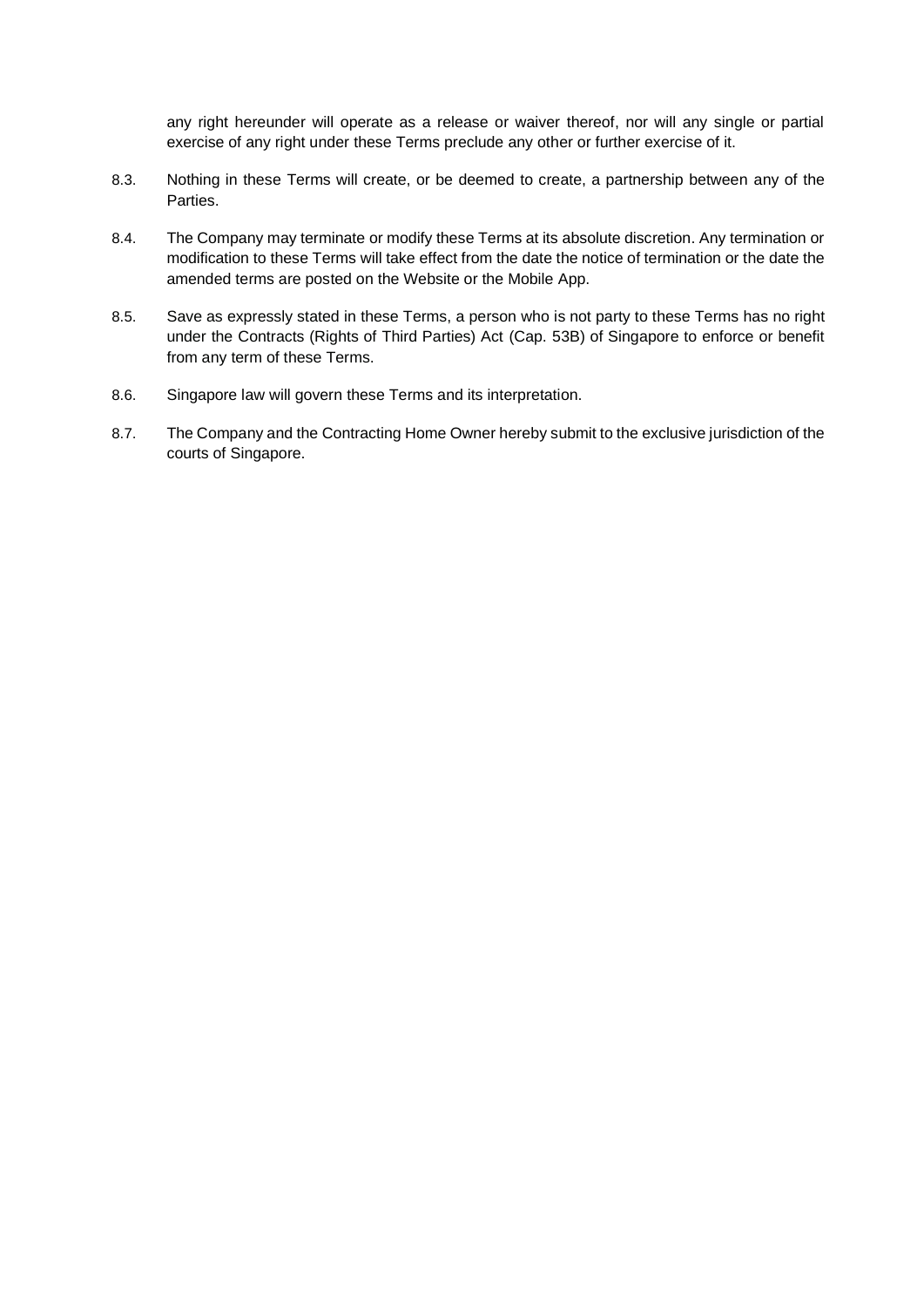any right hereunder will operate as a release or waiver thereof, nor will any single or partial exercise of any right under these Terms preclude any other or further exercise of it.

- 8.3. Nothing in these Terms will create, or be deemed to create, a partnership between any of the Parties.
- 8.4. The Company may terminate or modify these Terms at its absolute discretion. Any termination or modification to these Terms will take effect from the date the notice of termination or the date the amended terms are posted on the Website or the Mobile App.
- 8.5. Save as expressly stated in these Terms, a person who is not party to these Terms has no right under the Contracts (Rights of Third Parties) Act (Cap. 53B) of Singapore to enforce or benefit from any term of these Terms.
- 8.6. Singapore law will govern these Terms and its interpretation.
- 8.7. The Company and the Contracting Home Owner hereby submit to the exclusive jurisdiction of the courts of Singapore.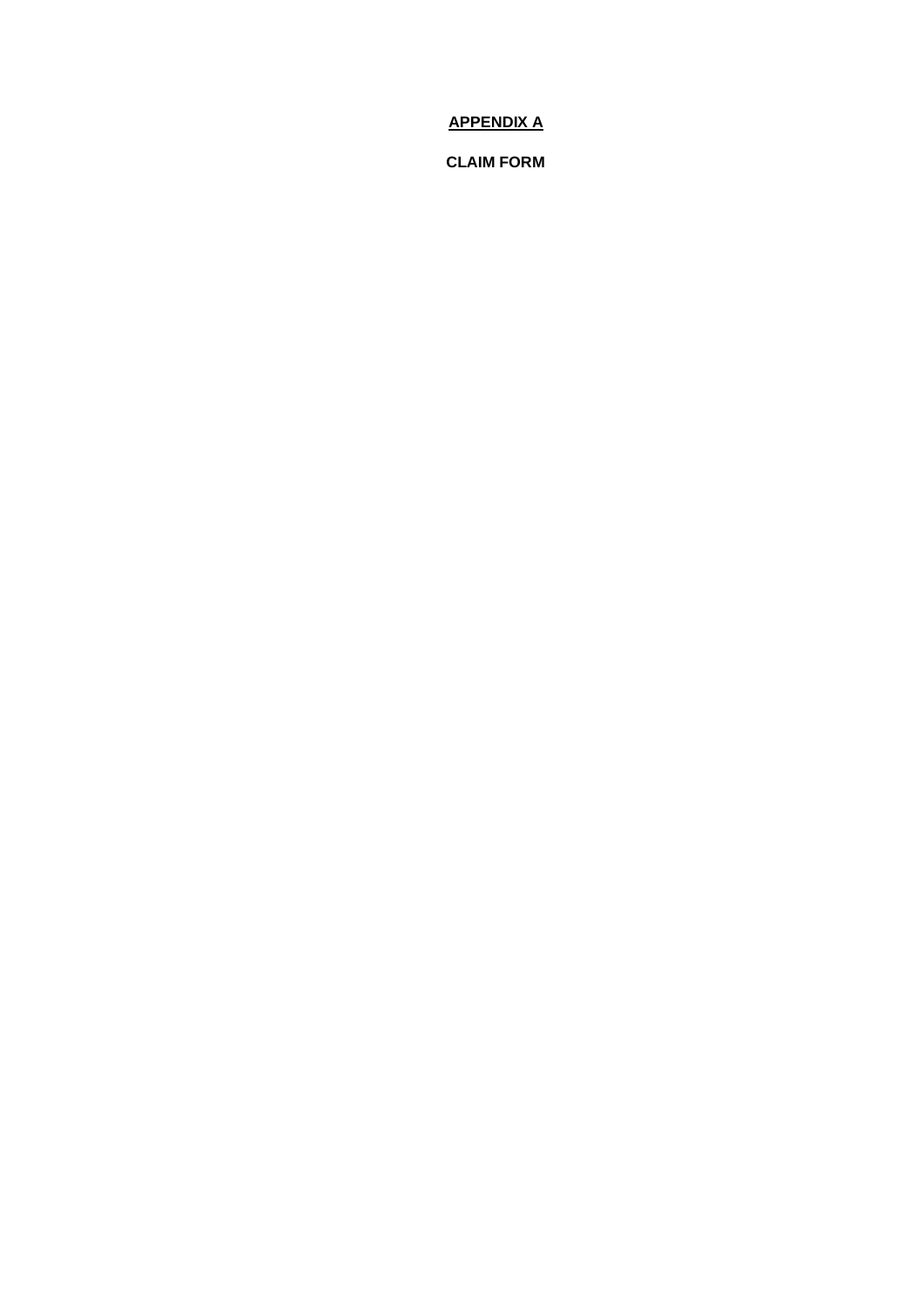# **APPENDIX A**

**CLAIM FORM**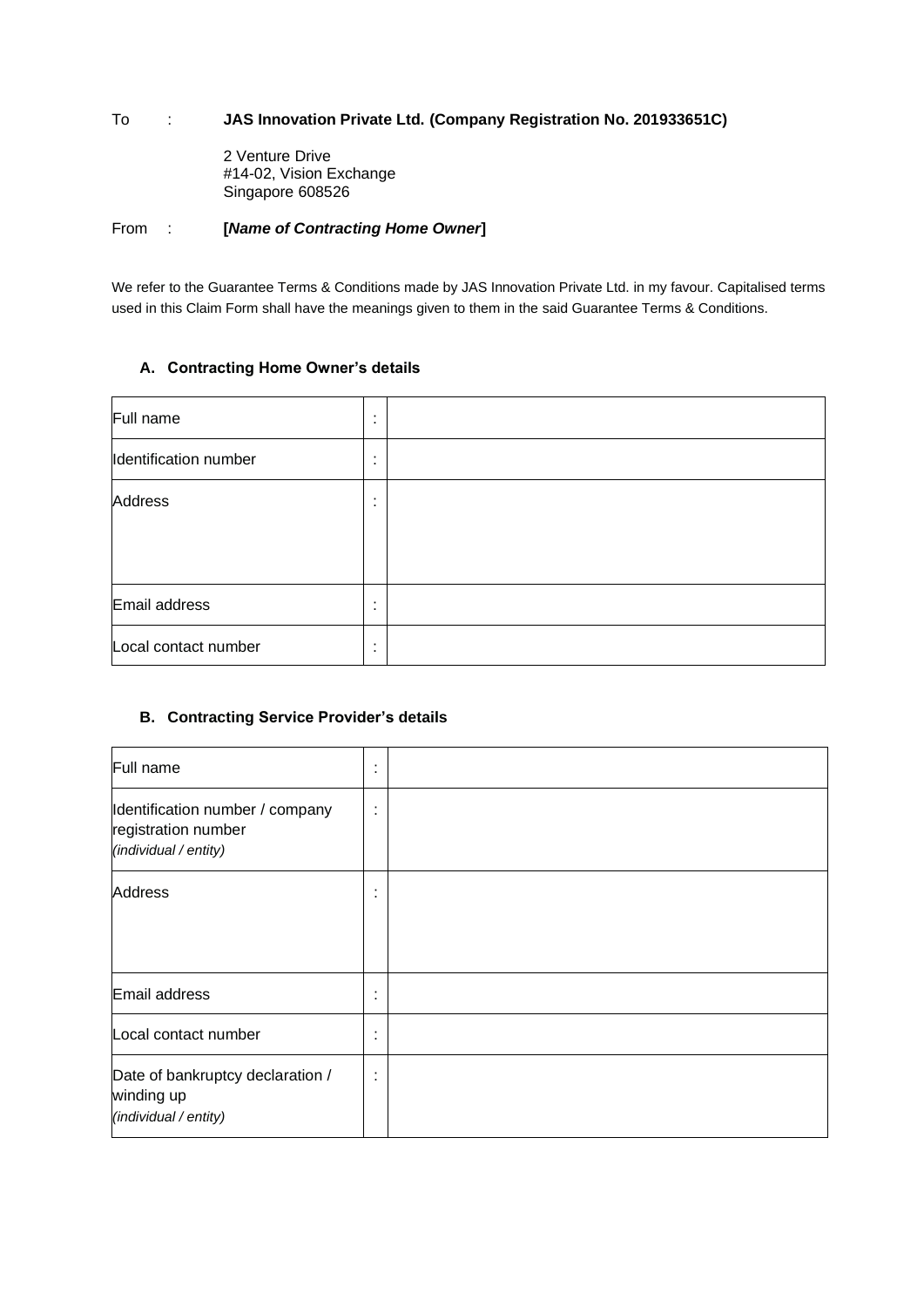## To : **JAS Innovation Private Ltd. (Company Registration No. 201933651C)**

2 Venture Drive #14-02, Vision Exchange Singapore 608526

#### From : **[***Name of Contracting Home Owner***]**

We refer to the Guarantee Terms & Conditions made by JAS Innovation Private Ltd. in my favour. Capitalised terms used in this Claim Form shall have the meanings given to them in the said Guarantee Terms & Conditions.

# **A. Contracting Home Owner's details**

| Full name             | ٠<br>$\blacksquare$ |  |
|-----------------------|---------------------|--|
| Identification number | ٠<br>٠              |  |
| Address               | ٠<br>٠              |  |
|                       |                     |  |
|                       |                     |  |
| Email address         | ٠<br>$\blacksquare$ |  |
| Local contact number  | ٠<br>٠              |  |

### **B. Contracting Service Provider's details**

| Full name                                                                       | ٠<br>$\blacksquare$ |  |
|---------------------------------------------------------------------------------|---------------------|--|
| Identification number / company<br>registration number<br>(individual / entity) | ٠<br>$\blacksquare$ |  |
| Address                                                                         | ٠<br>$\blacksquare$ |  |
| Email address                                                                   | ٠<br>$\bullet$      |  |
| Local contact number                                                            | ٠<br>$\cdot$        |  |
| Date of bankruptcy declaration /<br>winding up<br>(individual / entity)         | ٠<br>$\blacksquare$ |  |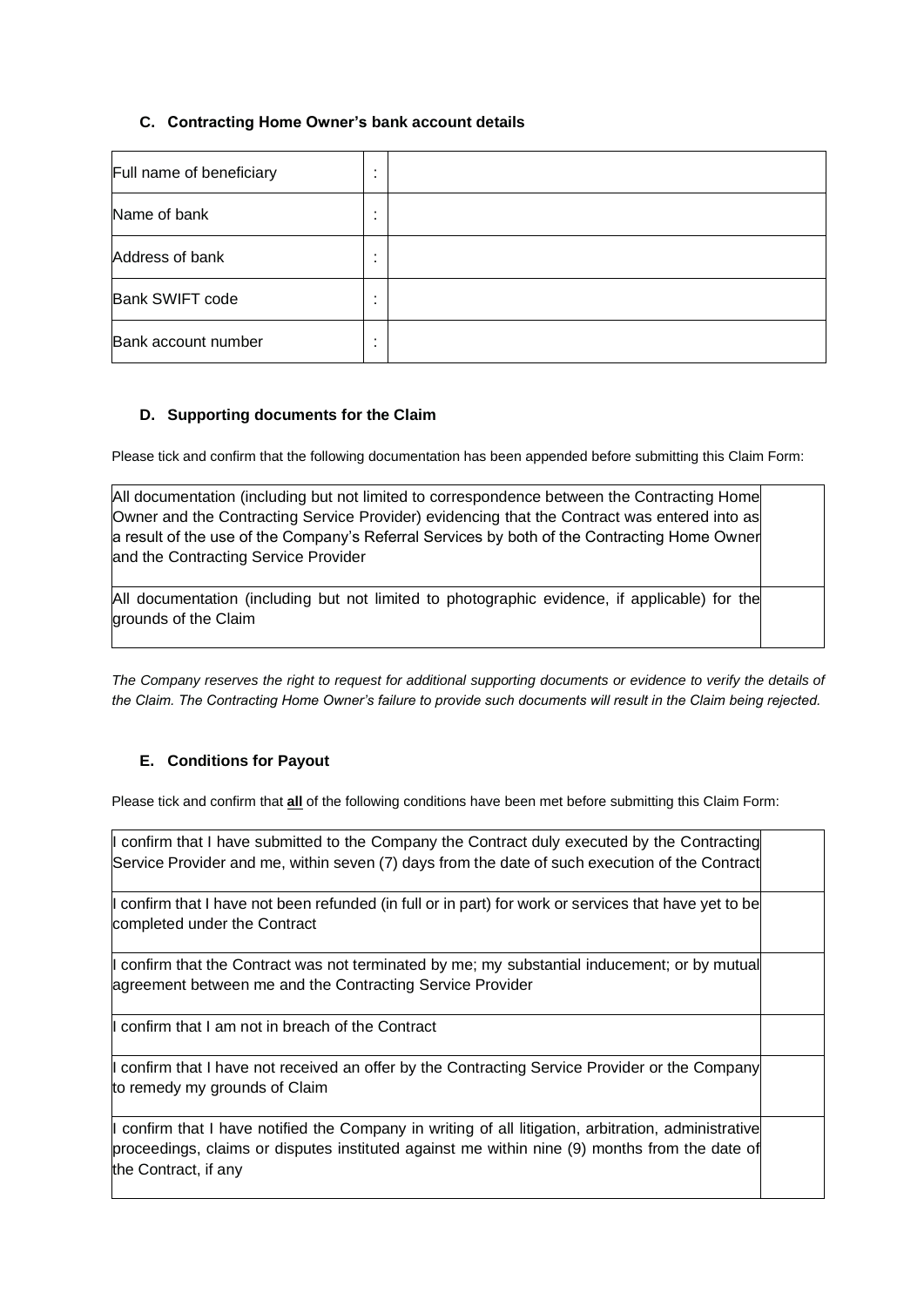## **C. Contracting Home Owner's bank account details**

| Full name of beneficiary | ٠ |  |
|--------------------------|---|--|
| Name of bank             | ٠ |  |
| Address of bank          |   |  |
| <b>Bank SWIFT code</b>   |   |  |
| Bank account number      | ٠ |  |

### **D. Supporting documents for the Claim**

Please tick and confirm that the following documentation has been appended before submitting this Claim Form:

| All documentation (including but not limited to correspondence between the Contracting Home<br>Owner and the Contracting Service Provider) evidencing that the Contract was entered into as<br>a result of the use of the Company's Referral Services by both of the Contracting Home Owner<br>and the Contracting Service Provider |  |
|-------------------------------------------------------------------------------------------------------------------------------------------------------------------------------------------------------------------------------------------------------------------------------------------------------------------------------------|--|
| All documentation (including but not limited to photographic evidence, if applicable) for the<br>grounds of the Claim                                                                                                                                                                                                               |  |

*The Company reserves the right to request for additional supporting documents or evidence to verify the details of the Claim. The Contracting Home Owner's failure to provide such documents will result in the Claim being rejected.* 

# **E. Conditions for Payout**

Please tick and confirm that **all** of the following conditions have been met before submitting this Claim Form:

| confirm that I have submitted to the Company the Contract duly executed by the Contracting<br>Service Provider and me, within seven (7) days from the date of such execution of the Contract                                |  |
|-----------------------------------------------------------------------------------------------------------------------------------------------------------------------------------------------------------------------------|--|
| confirm that I have not been refunded (in full or in part) for work or services that have yet to be<br>completed under the Contract                                                                                         |  |
| confirm that the Contract was not terminated by me; my substantial inducement; or by mutual<br>agreement between me and the Contracting Service Provider                                                                    |  |
| confirm that I am not in breach of the Contract                                                                                                                                                                             |  |
| confirm that I have not received an offer by the Contracting Service Provider or the Company<br>to remedy my grounds of Claim                                                                                               |  |
| confirm that I have notified the Company in writing of all litigation, arbitration, administrative<br>proceedings, claims or disputes instituted against me within nine (9) months from the date of<br>the Contract, if any |  |